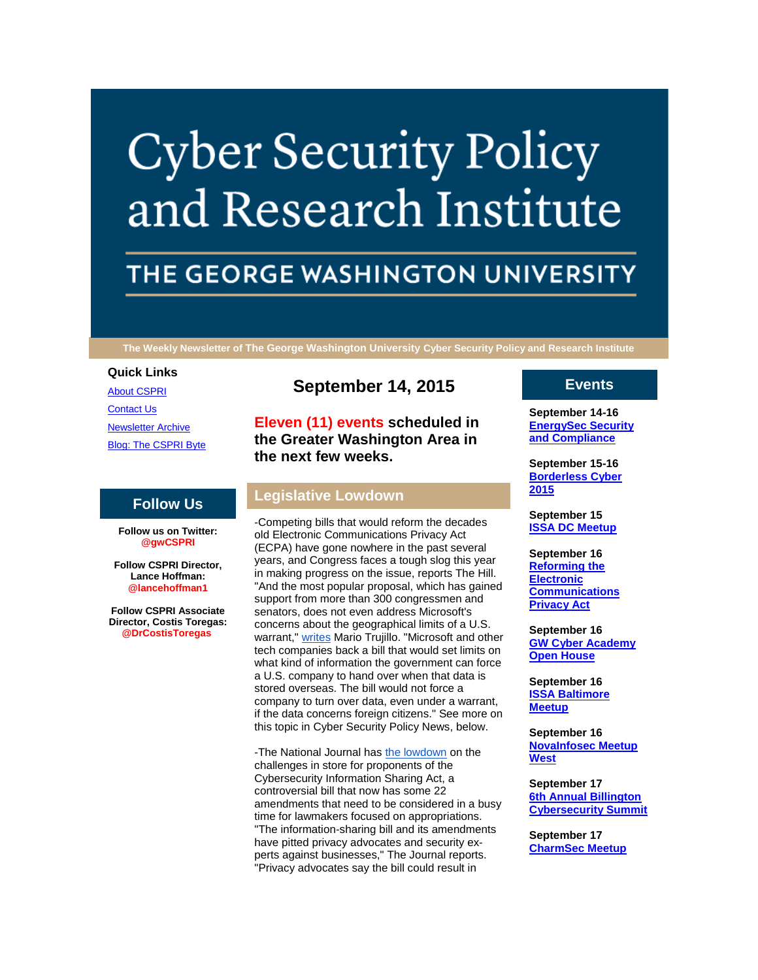# **Cyber Security Policy** and Research Institute

# THE GEORGE WASHINGTON UNIVERSITY

**The Weekly Newsletter of The George Washington University Cyber Security Policy and Research Institute**

#### **Quick Links**

[About CSPRI](http://r20.rs6.net/tn.jsp?f=00187_SfvTdj7ReVRF4aqi9XHC_R3AtWWD7WJkmuj6Xgk1edygkK5B5lE1LHaDp5q269h8lFeeyAhxYd81LGrh83EjLm59KmwsMLbVTbkxk1IGo0owNhVh_kgNc4AzQ0nvkvmIGu4DVZmgIXIL1qiZijP-neM7OVTzqehzKYxAAJi_QZHYHzNhfdPgkTT4nk1SR&c=8Jn88k8BDbgyYnQF8RoBleHfJPKyUR7YAX5o7LVYBNhzjOTrZktNzA==&ch=yprgzNtRLUi7DzOPO2DHankhGfsPE40BUz0NSY-JHqHU7T-RVvwsaQ==) [Contact Us](http://r20.rs6.net/tn.jsp?f=00187_SfvTdj7ReVRF4aqi9XHC_R3AtWWD7WJkmuj6Xgk1edygkK5B5lE1LHaDp5q26xf4RmGDMbtSImIZOqQkdqt9QRlTuSQ2G0hXrsm7JTAsqEFXtCHGiUiqlAvq2aZCtKAkSZ2mue_4S12-SDdySXKYVoZCYT4lNLcCuufCebJ_Cqvg-Edkq0qvF6BITlU1hFicu0sRYwFo=&c=8Jn88k8BDbgyYnQF8RoBleHfJPKyUR7YAX5o7LVYBNhzjOTrZktNzA==&ch=yprgzNtRLUi7DzOPO2DHankhGfsPE40BUz0NSY-JHqHU7T-RVvwsaQ==) [Newsletter Archive](http://r20.rs6.net/tn.jsp?f=00187_SfvTdj7ReVRF4aqi9XHC_R3AtWWD7WJkmuj6Xgk1edygkK5B5lE1LHaDp5q26lnL3MZvSQKfczx3Hn4h8EDQuStOlfo-jTFgRBF5Mh2MM60-Aw2Q1IW7HgT-8czehXSpUdktQ6WRIcQOru8a19R85CyPNpTJiJc9i85h0lEEr6imJ1dyTSzwdpjCIiloQMyjZl0WDPWc=&c=8Jn88k8BDbgyYnQF8RoBleHfJPKyUR7YAX5o7LVYBNhzjOTrZktNzA==&ch=yprgzNtRLUi7DzOPO2DHankhGfsPE40BUz0NSY-JHqHU7T-RVvwsaQ==) [Blog: The CSPRI Byte](http://r20.rs6.net/tn.jsp?f=00187_SfvTdj7ReVRF4aqi9XHC_R3AtWWD7WJkmuj6Xgk1edygkK5B5lE1LHaDp5q26-tnv-UPvybRff05Od_pFBoDHtsUpyFXfkFTOEon6m_hA5IvHcRNrhaZ6KN2wtVy9_y3UkBgD4oTz63eVmpxUElgSn4P-uLmLd4WNCq9jEZliO-SUxtuautkYH52e2MaJ&c=8Jn88k8BDbgyYnQF8RoBleHfJPKyUR7YAX5o7LVYBNhzjOTrZktNzA==&ch=yprgzNtRLUi7DzOPO2DHankhGfsPE40BUz0NSY-JHqHU7T-RVvwsaQ==)

#### **Follow Us**

**Follow us on Twitter: @gwCSPRI**

**Follow CSPRI Director, Lance Hoffman: @lancehoffman1**

**Follow CSPRI Associate Director, Costis Toregas: @DrCostisToregas**

## **September 14, 2015**

**Eleven (11) events scheduled in the Greater Washington Area in the next few weeks.**

#### **Legislative Lowdown**

-Competing bills that would reform the decades old Electronic Communications Privacy Act (ECPA) have gone nowhere in the past several years, and Congress faces a tough slog this year in making progress on the issue, reports The Hill. "And the most popular proposal, which has gained support from more than 300 congressmen and senators, does not even address Microsoft's concerns about the geographical limits of a U.S. warrant." [writes](http://r20.rs6.net/tn.jsp?f=00187_SfvTdj7ReVRF4aqi9XHC_R3AtWWD7WJkmuj6Xgk1edygkK5B5lNUQbLtAQWYQ_KQqn3bKjkXkIqs7GvSUCq9ld2GIZLSmDQkCocc3xO48COoUjleqXz5SzGGEEhLHYyzVbpNKcneAYof5K_PFj8p0p9OOnxvQ3qGId7dUv4-M9NonLb1KsZp03mAZYLt62-QByXTLd1QA54dLNof4LoqFa9eU4cgNcRTnmSesVtpN4x4xUqowQInbiy0vk5RKsegtdHRxTnPWEIHjFKBXzY9qaJrMHIuqBQh1vGzSFlE=&c=8Jn88k8BDbgyYnQF8RoBleHfJPKyUR7YAX5o7LVYBNhzjOTrZktNzA==&ch=yprgzNtRLUi7DzOPO2DHankhGfsPE40BUz0NSY-JHqHU7T-RVvwsaQ==) Mario Trujillo. "Microsoft and other tech companies back a bill that would set limits on what kind of information the government can force a U.S. company to hand over when that data is stored overseas. The bill would not force a company to turn over data, even under a warrant, if the data concerns foreign citizens." See more on this topic in Cyber Security Policy News, below.

-The National Journal has [the lowdown](http://r20.rs6.net/tn.jsp?f=00187_SfvTdj7ReVRF4aqi9XHC_R3AtWWD7WJkmuj6Xgk1edygkK5B5lNUQbLtAQWYQSQmnbvwxCajZepBl6aAc3MWpUaBW_nai127fGNhNk9HEgKH2Ug_qYd3bMVmY24KmzPmMjGwClT6chPTcu2IlXbzb2-RSbVd3Z11BncE6o844akskoanTyjvLme-LKjiXOSR9RDqeYkCgwlZPcGX4DpnOGPr2tmkZBbu1qCXgYVz_hwwwwy-mmW7HroDqQBedFeOe0LmwExXJppXO14-F7snJeYoOb3OP6qLZpS2uBBc=&c=8Jn88k8BDbgyYnQF8RoBleHfJPKyUR7YAX5o7LVYBNhzjOTrZktNzA==&ch=yprgzNtRLUi7DzOPO2DHankhGfsPE40BUz0NSY-JHqHU7T-RVvwsaQ==) on the challenges in store for proponents of the Cybersecurity Information Sharing Act, a controversial bill that now has some 22 amendments that need to be considered in a busy time for lawmakers focused on appropriations. "The information-sharing bill and its amendments have pitted privacy advocates and security experts against businesses," The Journal reports. "Privacy advocates say the bill could result in

#### **Events**

**September 14-16 [EnergySec Security](http://r20.rs6.net/tn.jsp?f=00187_SfvTdj7ReVRF4aqi9XHC_R3AtWWD7WJkmuj6Xgk1edygkK5B5lGx8eFZQm5ktPR5X2E-l1Z0Vc6yIQ-_Rh7YnEZyC90-R6bSdJ2v8S0ehJkQCxJhlXW6rxCYuq_ZnVMTvljK4UXBj9vAQkeANT7X_5z5b8rFP1g2MFbW3f_FGKA_YkaEdv6ZZVvkEQmfWXSHvidzrH60=&c=8Jn88k8BDbgyYnQF8RoBleHfJPKyUR7YAX5o7LVYBNhzjOTrZktNzA==&ch=yprgzNtRLUi7DzOPO2DHankhGfsPE40BUz0NSY-JHqHU7T-RVvwsaQ==)  [and Compliance](http://r20.rs6.net/tn.jsp?f=00187_SfvTdj7ReVRF4aqi9XHC_R3AtWWD7WJkmuj6Xgk1edygkK5B5lGx8eFZQm5ktPR5X2E-l1Z0Vc6yIQ-_Rh7YnEZyC90-R6bSdJ2v8S0ehJkQCxJhlXW6rxCYuq_ZnVMTvljK4UXBj9vAQkeANT7X_5z5b8rFP1g2MFbW3f_FGKA_YkaEdv6ZZVvkEQmfWXSHvidzrH60=&c=8Jn88k8BDbgyYnQF8RoBleHfJPKyUR7YAX5o7LVYBNhzjOTrZktNzA==&ch=yprgzNtRLUi7DzOPO2DHankhGfsPE40BUz0NSY-JHqHU7T-RVvwsaQ==)**

**September 15-16 [Borderless Cyber](http://r20.rs6.net/tn.jsp?f=00187_SfvTdj7ReVRF4aqi9XHC_R3AtWWD7WJkmuj6Xgk1edygkK5B5lGx8eFZQm5ktPR5X2E-l1Z0Vc6yIQ-_Rh7YnEZyC90-R6bSdJ2v8S0ehJkQCxJhlXW6rxCYuq_ZnVMTvljK4UXBj9vAQkeANT7X_5z5b8rFP1g2MFbW3f_FGKA_YkaEdv6ZZVvkEQmfWXSHvidzrH60=&c=8Jn88k8BDbgyYnQF8RoBleHfJPKyUR7YAX5o7LVYBNhzjOTrZktNzA==&ch=yprgzNtRLUi7DzOPO2DHankhGfsPE40BUz0NSY-JHqHU7T-RVvwsaQ==)  [2015](http://r20.rs6.net/tn.jsp?f=00187_SfvTdj7ReVRF4aqi9XHC_R3AtWWD7WJkmuj6Xgk1edygkK5B5lGx8eFZQm5ktPR5X2E-l1Z0Vc6yIQ-_Rh7YnEZyC90-R6bSdJ2v8S0ehJkQCxJhlXW6rxCYuq_ZnVMTvljK4UXBj9vAQkeANT7X_5z5b8rFP1g2MFbW3f_FGKA_YkaEdv6ZZVvkEQmfWXSHvidzrH60=&c=8Jn88k8BDbgyYnQF8RoBleHfJPKyUR7YAX5o7LVYBNhzjOTrZktNzA==&ch=yprgzNtRLUi7DzOPO2DHankhGfsPE40BUz0NSY-JHqHU7T-RVvwsaQ==)**

**September 15 [ISSA DC Meetup](http://r20.rs6.net/tn.jsp?f=00187_SfvTdj7ReVRF4aqi9XHC_R3AtWWD7WJkmuj6Xgk1edygkK5B5lGx8eFZQm5ktPR5X2E-l1Z0Vc6yIQ-_Rh7YnEZyC90-R6bSdJ2v8S0ehJkQCxJhlXW6rxCYuq_ZnVMTvljK4UXBj9vAQkeANT7X_5z5b8rFP1g2MFbW3f_FGKA_YkaEdv6ZZVvkEQmfWXSHvidzrH60=&c=8Jn88k8BDbgyYnQF8RoBleHfJPKyUR7YAX5o7LVYBNhzjOTrZktNzA==&ch=yprgzNtRLUi7DzOPO2DHankhGfsPE40BUz0NSY-JHqHU7T-RVvwsaQ==)**

**September 16 [Reforming the](http://r20.rs6.net/tn.jsp?f=00187_SfvTdj7ReVRF4aqi9XHC_R3AtWWD7WJkmuj6Xgk1edygkK5B5lGx8eFZQm5ktPR5X2E-l1Z0Vc6yIQ-_Rh7YnEZyC90-R6bSdJ2v8S0ehJkQCxJhlXW6rxCYuq_ZnVMTvljK4UXBj9vAQkeANT7X_5z5b8rFP1g2MFbW3f_FGKA_YkaEdv6ZZVvkEQmfWXSHvidzrH60=&c=8Jn88k8BDbgyYnQF8RoBleHfJPKyUR7YAX5o7LVYBNhzjOTrZktNzA==&ch=yprgzNtRLUi7DzOPO2DHankhGfsPE40BUz0NSY-JHqHU7T-RVvwsaQ==)  [Electronic](http://r20.rs6.net/tn.jsp?f=00187_SfvTdj7ReVRF4aqi9XHC_R3AtWWD7WJkmuj6Xgk1edygkK5B5lGx8eFZQm5ktPR5X2E-l1Z0Vc6yIQ-_Rh7YnEZyC90-R6bSdJ2v8S0ehJkQCxJhlXW6rxCYuq_ZnVMTvljK4UXBj9vAQkeANT7X_5z5b8rFP1g2MFbW3f_FGKA_YkaEdv6ZZVvkEQmfWXSHvidzrH60=&c=8Jn88k8BDbgyYnQF8RoBleHfJPKyUR7YAX5o7LVYBNhzjOTrZktNzA==&ch=yprgzNtRLUi7DzOPO2DHankhGfsPE40BUz0NSY-JHqHU7T-RVvwsaQ==)  [Communications](http://r20.rs6.net/tn.jsp?f=00187_SfvTdj7ReVRF4aqi9XHC_R3AtWWD7WJkmuj6Xgk1edygkK5B5lGx8eFZQm5ktPR5X2E-l1Z0Vc6yIQ-_Rh7YnEZyC90-R6bSdJ2v8S0ehJkQCxJhlXW6rxCYuq_ZnVMTvljK4UXBj9vAQkeANT7X_5z5b8rFP1g2MFbW3f_FGKA_YkaEdv6ZZVvkEQmfWXSHvidzrH60=&c=8Jn88k8BDbgyYnQF8RoBleHfJPKyUR7YAX5o7LVYBNhzjOTrZktNzA==&ch=yprgzNtRLUi7DzOPO2DHankhGfsPE40BUz0NSY-JHqHU7T-RVvwsaQ==)  [Privacy Act](http://r20.rs6.net/tn.jsp?f=00187_SfvTdj7ReVRF4aqi9XHC_R3AtWWD7WJkmuj6Xgk1edygkK5B5lGx8eFZQm5ktPR5X2E-l1Z0Vc6yIQ-_Rh7YnEZyC90-R6bSdJ2v8S0ehJkQCxJhlXW6rxCYuq_ZnVMTvljK4UXBj9vAQkeANT7X_5z5b8rFP1g2MFbW3f_FGKA_YkaEdv6ZZVvkEQmfWXSHvidzrH60=&c=8Jn88k8BDbgyYnQF8RoBleHfJPKyUR7YAX5o7LVYBNhzjOTrZktNzA==&ch=yprgzNtRLUi7DzOPO2DHankhGfsPE40BUz0NSY-JHqHU7T-RVvwsaQ==)**

**September 16 [GW Cyber Academy](http://r20.rs6.net/tn.jsp?f=00187_SfvTdj7ReVRF4aqi9XHC_R3AtWWD7WJkmuj6Xgk1edygkK5B5lGx8eFZQm5ktPR5X2E-l1Z0Vc6yIQ-_Rh7YnEZyC90-R6bSdJ2v8S0ehJkQCxJhlXW6rxCYuq_ZnVMTvljK4UXBj9vAQkeANT7X_5z5b8rFP1g2MFbW3f_FGKA_YkaEdv6ZZVvkEQmfWXSHvidzrH60=&c=8Jn88k8BDbgyYnQF8RoBleHfJPKyUR7YAX5o7LVYBNhzjOTrZktNzA==&ch=yprgzNtRLUi7DzOPO2DHankhGfsPE40BUz0NSY-JHqHU7T-RVvwsaQ==)  [Open House](http://r20.rs6.net/tn.jsp?f=00187_SfvTdj7ReVRF4aqi9XHC_R3AtWWD7WJkmuj6Xgk1edygkK5B5lGx8eFZQm5ktPR5X2E-l1Z0Vc6yIQ-_Rh7YnEZyC90-R6bSdJ2v8S0ehJkQCxJhlXW6rxCYuq_ZnVMTvljK4UXBj9vAQkeANT7X_5z5b8rFP1g2MFbW3f_FGKA_YkaEdv6ZZVvkEQmfWXSHvidzrH60=&c=8Jn88k8BDbgyYnQF8RoBleHfJPKyUR7YAX5o7LVYBNhzjOTrZktNzA==&ch=yprgzNtRLUi7DzOPO2DHankhGfsPE40BUz0NSY-JHqHU7T-RVvwsaQ==)**

**September 16 [ISSA Baltimore](http://r20.rs6.net/tn.jsp?f=00187_SfvTdj7ReVRF4aqi9XHC_R3AtWWD7WJkmuj6Xgk1edygkK5B5lGx8eFZQm5ktPR5X2E-l1Z0Vc6yIQ-_Rh7YnEZyC90-R6bSdJ2v8S0ehJkQCxJhlXW6rxCYuq_ZnVMTvljK4UXBj9vAQkeANT7X_5z5b8rFP1g2MFbW3f_FGKA_YkaEdv6ZZVvkEQmfWXSHvidzrH60=&c=8Jn88k8BDbgyYnQF8RoBleHfJPKyUR7YAX5o7LVYBNhzjOTrZktNzA==&ch=yprgzNtRLUi7DzOPO2DHankhGfsPE40BUz0NSY-JHqHU7T-RVvwsaQ==)  [Meetup](http://r20.rs6.net/tn.jsp?f=00187_SfvTdj7ReVRF4aqi9XHC_R3AtWWD7WJkmuj6Xgk1edygkK5B5lGx8eFZQm5ktPR5X2E-l1Z0Vc6yIQ-_Rh7YnEZyC90-R6bSdJ2v8S0ehJkQCxJhlXW6rxCYuq_ZnVMTvljK4UXBj9vAQkeANT7X_5z5b8rFP1g2MFbW3f_FGKA_YkaEdv6ZZVvkEQmfWXSHvidzrH60=&c=8Jn88k8BDbgyYnQF8RoBleHfJPKyUR7YAX5o7LVYBNhzjOTrZktNzA==&ch=yprgzNtRLUi7DzOPO2DHankhGfsPE40BUz0NSY-JHqHU7T-RVvwsaQ==)**

**September 16 [NovaInfosec Meetup](http://r20.rs6.net/tn.jsp?f=00187_SfvTdj7ReVRF4aqi9XHC_R3AtWWD7WJkmuj6Xgk1edygkK5B5lGx8eFZQm5ktPR5X2E-l1Z0Vc6yIQ-_Rh7YnEZyC90-R6bSdJ2v8S0ehJkQCxJhlXW6rxCYuq_ZnVMTvljK4UXBj9vAQkeANT7X_5z5b8rFP1g2MFbW3f_FGKA_YkaEdv6ZZVvkEQmfWXSHvidzrH60=&c=8Jn88k8BDbgyYnQF8RoBleHfJPKyUR7YAX5o7LVYBNhzjOTrZktNzA==&ch=yprgzNtRLUi7DzOPO2DHankhGfsPE40BUz0NSY-JHqHU7T-RVvwsaQ==)  [West](http://r20.rs6.net/tn.jsp?f=00187_SfvTdj7ReVRF4aqi9XHC_R3AtWWD7WJkmuj6Xgk1edygkK5B5lGx8eFZQm5ktPR5X2E-l1Z0Vc6yIQ-_Rh7YnEZyC90-R6bSdJ2v8S0ehJkQCxJhlXW6rxCYuq_ZnVMTvljK4UXBj9vAQkeANT7X_5z5b8rFP1g2MFbW3f_FGKA_YkaEdv6ZZVvkEQmfWXSHvidzrH60=&c=8Jn88k8BDbgyYnQF8RoBleHfJPKyUR7YAX5o7LVYBNhzjOTrZktNzA==&ch=yprgzNtRLUi7DzOPO2DHankhGfsPE40BUz0NSY-JHqHU7T-RVvwsaQ==)**

**September 17 [6th Annual Billington](http://r20.rs6.net/tn.jsp?f=00187_SfvTdj7ReVRF4aqi9XHC_R3AtWWD7WJkmuj6Xgk1edygkK5B5lGx8eFZQm5ktPR5X2E-l1Z0Vc6yIQ-_Rh7YnEZyC90-R6bSdJ2v8S0ehJkQCxJhlXW6rxCYuq_ZnVMTvljK4UXBj9vAQkeANT7X_5z5b8rFP1g2MFbW3f_FGKA_YkaEdv6ZZVvkEQmfWXSHvidzrH60=&c=8Jn88k8BDbgyYnQF8RoBleHfJPKyUR7YAX5o7LVYBNhzjOTrZktNzA==&ch=yprgzNtRLUi7DzOPO2DHankhGfsPE40BUz0NSY-JHqHU7T-RVvwsaQ==)  [Cybersecurity Summit](http://r20.rs6.net/tn.jsp?f=00187_SfvTdj7ReVRF4aqi9XHC_R3AtWWD7WJkmuj6Xgk1edygkK5B5lGx8eFZQm5ktPR5X2E-l1Z0Vc6yIQ-_Rh7YnEZyC90-R6bSdJ2v8S0ehJkQCxJhlXW6rxCYuq_ZnVMTvljK4UXBj9vAQkeANT7X_5z5b8rFP1g2MFbW3f_FGKA_YkaEdv6ZZVvkEQmfWXSHvidzrH60=&c=8Jn88k8BDbgyYnQF8RoBleHfJPKyUR7YAX5o7LVYBNhzjOTrZktNzA==&ch=yprgzNtRLUi7DzOPO2DHankhGfsPE40BUz0NSY-JHqHU7T-RVvwsaQ==)**

**September 17 [CharmSec Meetup](http://r20.rs6.net/tn.jsp?f=00187_SfvTdj7ReVRF4aqi9XHC_R3AtWWD7WJkmuj6Xgk1edygkK5B5lGx8eFZQm5ktPR5X2E-l1Z0Vc6yIQ-_Rh7YnEZyC90-R6bSdJ2v8S0ehJkQCxJhlXW6rxCYuq_ZnVMTvljK4UXBj9vAQkeANT7X_5z5b8rFP1g2MFbW3f_FGKA_YkaEdv6ZZVvkEQmfWXSHvidzrH60=&c=8Jn88k8BDbgyYnQF8RoBleHfJPKyUR7YAX5o7LVYBNhzjOTrZktNzA==&ch=yprgzNtRLUi7DzOPO2DHankhGfsPE40BUz0NSY-JHqHU7T-RVvwsaQ==)**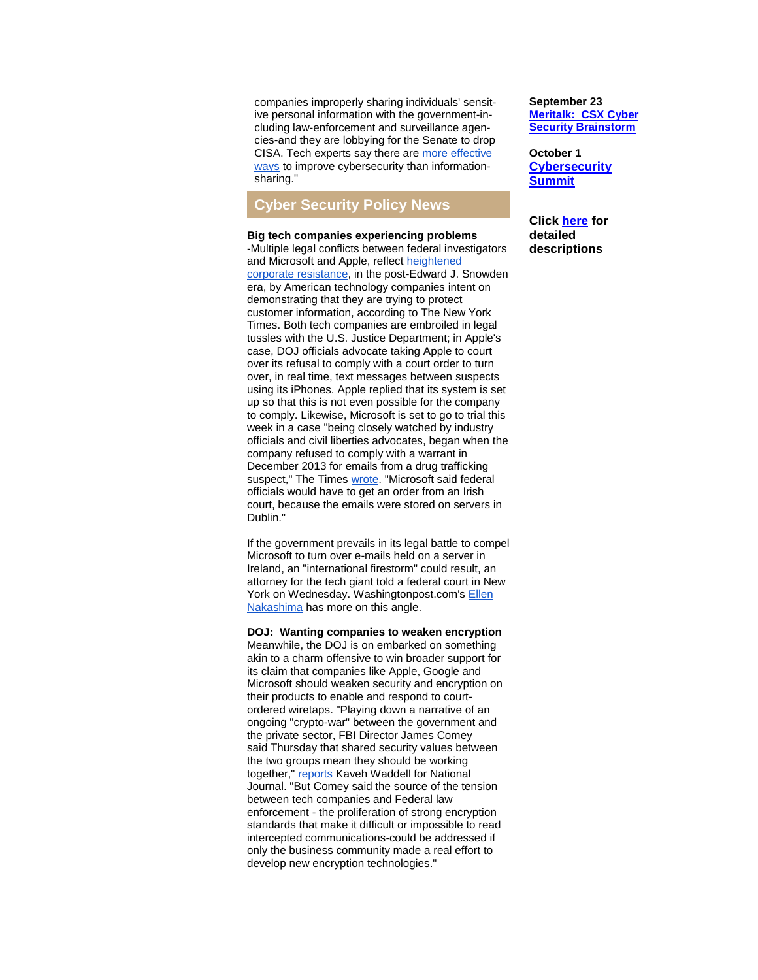companies improperly sharing individuals' sensitive personal information with the government-including law-enforcement and surveillance agencies-and they are lobbying for the Senate to drop CISA. Tech experts say there are [more effective](http://r20.rs6.net/tn.jsp?f=00187_SfvTdj7ReVRF4aqi9XHC_R3AtWWD7WJkmuj6Xgk1edygkK5B5lNUQbLtAQWYQ-P24uGTw61zscMcPmStJE4t7SJtLTWkiwKcdeb4ExdEWyWo81RpfSVEDLKjLJ_WXaUP9vFq0cwQWzmW1pYDP-nPcta5tbNqziYao3x9bSefIsTZ3WH7LJWNIH4sNfdjpzIX4aKt_4Ab2GOKzIS13jnbmCZ-vohniA0PAOpw9yaHjGBXApGZc-OxVtURGR8teiahX4YqWj3DMn-_YtmHuJmqCkNfZp48FNn9BY9k_FG54_bR56iu0hmJSY3cKDOHS&c=8Jn88k8BDbgyYnQF8RoBleHfJPKyUR7YAX5o7LVYBNhzjOTrZktNzA==&ch=yprgzNtRLUi7DzOPO2DHankhGfsPE40BUz0NSY-JHqHU7T-RVvwsaQ==)  [ways](http://r20.rs6.net/tn.jsp?f=00187_SfvTdj7ReVRF4aqi9XHC_R3AtWWD7WJkmuj6Xgk1edygkK5B5lNUQbLtAQWYQ-P24uGTw61zscMcPmStJE4t7SJtLTWkiwKcdeb4ExdEWyWo81RpfSVEDLKjLJ_WXaUP9vFq0cwQWzmW1pYDP-nPcta5tbNqziYao3x9bSefIsTZ3WH7LJWNIH4sNfdjpzIX4aKt_4Ab2GOKzIS13jnbmCZ-vohniA0PAOpw9yaHjGBXApGZc-OxVtURGR8teiahX4YqWj3DMn-_YtmHuJmqCkNfZp48FNn9BY9k_FG54_bR56iu0hmJSY3cKDOHS&c=8Jn88k8BDbgyYnQF8RoBleHfJPKyUR7YAX5o7LVYBNhzjOTrZktNzA==&ch=yprgzNtRLUi7DzOPO2DHankhGfsPE40BUz0NSY-JHqHU7T-RVvwsaQ==) to improve cybersecurity than informationsharing."

### **Cyber Security Policy News**

**Big tech companies experiencing problems** -Multiple legal conflicts between federal investigators and Microsoft and Apple, reflect [heightened](http://r20.rs6.net/tn.jsp?f=00187_SfvTdj7ReVRF4aqi9XHC_R3AtWWD7WJkmuj6Xgk1edygkK5B5lNUQbLtAQWYQ4ORPTdwHGeNcyxCCs7uU8bBaWPvTedTGPpRWLNSigWz5ai35fAKiMaSuqC8SyOzfobCP8fB4c7bxFyYMQJxEwkguU5iovXyIevrkpqJmsb_8shfmqBVv4mxcoItTarnbcOhB9wgLGUiNCUl8l8rGMc4FatNrMVImT1NOUy1rykMFSwMdHzaDD_y7s_zZM0zi7epNvalC_feJQAEezvNia6WQoH5uRvuB0tU2SLHifkZjvKXgk9fmXoyTQGrKn_keeuc8p3gq7g0Zb0H1a-ozaA==&c=8Jn88k8BDbgyYnQF8RoBleHfJPKyUR7YAX5o7LVYBNhzjOTrZktNzA==&ch=yprgzNtRLUi7DzOPO2DHankhGfsPE40BUz0NSY-JHqHU7T-RVvwsaQ==)  [corporate resistance,](http://r20.rs6.net/tn.jsp?f=00187_SfvTdj7ReVRF4aqi9XHC_R3AtWWD7WJkmuj6Xgk1edygkK5B5lNUQbLtAQWYQ4ORPTdwHGeNcyxCCs7uU8bBaWPvTedTGPpRWLNSigWz5ai35fAKiMaSuqC8SyOzfobCP8fB4c7bxFyYMQJxEwkguU5iovXyIevrkpqJmsb_8shfmqBVv4mxcoItTarnbcOhB9wgLGUiNCUl8l8rGMc4FatNrMVImT1NOUy1rykMFSwMdHzaDD_y7s_zZM0zi7epNvalC_feJQAEezvNia6WQoH5uRvuB0tU2SLHifkZjvKXgk9fmXoyTQGrKn_keeuc8p3gq7g0Zb0H1a-ozaA==&c=8Jn88k8BDbgyYnQF8RoBleHfJPKyUR7YAX5o7LVYBNhzjOTrZktNzA==&ch=yprgzNtRLUi7DzOPO2DHankhGfsPE40BUz0NSY-JHqHU7T-RVvwsaQ==) in the post-Edward J. Snowden era, by American technology companies intent on demonstrating that they are trying to protect customer information, according to The New York Times. Both tech companies are embroiled in legal tussles with the U.S. Justice Department; in Apple's case, DOJ officials advocate taking Apple to court over its refusal to comply with a court order to turn over, in real time, text messages between suspects using its iPhones. Apple replied that its system is set up so that this is not even possible for the company to comply. Likewise, Microsoft is set to go to trial this week in a case "being closely watched by industry officials and civil liberties advocates, began when the company refused to comply with a warrant in December 2013 for emails from a drug trafficking suspect," The Times [wrote.](http://r20.rs6.net/tn.jsp?f=00187_SfvTdj7ReVRF4aqi9XHC_R3AtWWD7WJkmuj6Xgk1edygkK5B5lNUQbLtAQWYQfmOmiFKFWuUJ0KnJ9b8MvAvT2gBZ8wNMnAF0kb7rY8X8vKOHx9N-3rIDr-tC9Vvm2-wGLZh8zjkGtr5CR_iIkg3Phtbz7MqeUyK1_lifdgA5AnYEAk_sFlW6Ex_BEJymBQiNe36rnWIkQb8qhGhlnFxB7lzCgs04QoFgTbGTugB6NuTsSdlNo5SoPiuqkxpNbw1UCQ4UZ_EjvgQA2mK3uqAtU8ahKcd-rakWgGS8vSJ86Uxhn-rcWUintSAg97Zg&c=8Jn88k8BDbgyYnQF8RoBleHfJPKyUR7YAX5o7LVYBNhzjOTrZktNzA==&ch=yprgzNtRLUi7DzOPO2DHankhGfsPE40BUz0NSY-JHqHU7T-RVvwsaQ==) "Microsoft said federal officials would have to get an order from an Irish court, because the emails were stored on servers in Dublin."

If the government prevails in its legal battle to compel Microsoft to turn over e-mails held on a server in Ireland, an "international firestorm" could result, an attorney for the tech giant told a federal court in New York on Wednesday. Washingtonpost.com's [Ellen](http://r20.rs6.net/tn.jsp?f=00187_SfvTdj7ReVRF4aqi9XHC_R3AtWWD7WJkmuj6Xgk1edygkK5B5lNUQbLtAQWYQ433CgKAFb00qJqinqZf9d56K7Oz8UM1nJEjSSuegPQwLZ-OMGssoseb2rldJMhGjuSN91IjivzDGZLBKWSxAE_W6YuiA8ZLGIC-49aakL-5UT6qzSr4uVwJ-Vjz1NtjYbBh9aaxBH-6HvNvDMLbjlNmXFFpw3jvzhz7mQ2XS6EnYDrI0M2ZCvgF5XcHJsq-HWK-DIzlJrFSajiVGDitF8LA8_aKnnnDapm53gdgM96iVZiDTYwJbKg67g70rJ0aWmmpq4rwvCB7OLuvQ0O4DX5RIdUT7gIW_XF4xQXRKB0nlz5zQV2U8QroeLfPF9Q550p-oP9GgNbDK76pIXVDRiw==&c=8Jn88k8BDbgyYnQF8RoBleHfJPKyUR7YAX5o7LVYBNhzjOTrZktNzA==&ch=yprgzNtRLUi7DzOPO2DHankhGfsPE40BUz0NSY-JHqHU7T-RVvwsaQ==)  [Nakashima](http://r20.rs6.net/tn.jsp?f=00187_SfvTdj7ReVRF4aqi9XHC_R3AtWWD7WJkmuj6Xgk1edygkK5B5lNUQbLtAQWYQ433CgKAFb00qJqinqZf9d56K7Oz8UM1nJEjSSuegPQwLZ-OMGssoseb2rldJMhGjuSN91IjivzDGZLBKWSxAE_W6YuiA8ZLGIC-49aakL-5UT6qzSr4uVwJ-Vjz1NtjYbBh9aaxBH-6HvNvDMLbjlNmXFFpw3jvzhz7mQ2XS6EnYDrI0M2ZCvgF5XcHJsq-HWK-DIzlJrFSajiVGDitF8LA8_aKnnnDapm53gdgM96iVZiDTYwJbKg67g70rJ0aWmmpq4rwvCB7OLuvQ0O4DX5RIdUT7gIW_XF4xQXRKB0nlz5zQV2U8QroeLfPF9Q550p-oP9GgNbDK76pIXVDRiw==&c=8Jn88k8BDbgyYnQF8RoBleHfJPKyUR7YAX5o7LVYBNhzjOTrZktNzA==&ch=yprgzNtRLUi7DzOPO2DHankhGfsPE40BUz0NSY-JHqHU7T-RVvwsaQ==) has more on this angle.

**DOJ: Wanting companies to weaken encryption** Meanwhile, the DOJ is on embarked on something akin to a charm offensive to win broader support for its claim that companies like Apple, Google and Microsoft should weaken security and encryption on their products to enable and respond to courtordered wiretaps. "Playing down a narrative of an ongoing "crypto-war" between the government and the private sector, FBI Director James Comey said Thursday that shared security values between the two groups mean they should be working together," [reports](http://r20.rs6.net/tn.jsp?f=00187_SfvTdj7ReVRF4aqi9XHC_R3AtWWD7WJkmuj6Xgk1edygkK5B5lNUQbLtAQWYQYkxqsYmkDvOivx-8UDAkWfWv4PZ3SWBAli3YfZ6ldCuKNpd5Hqs-YY9c2EacQMXbiHiILZw9Oya3piTLHfDA1gUhEh28Vf68p7FPl9EwU8H4KhQIQZnRXRG1B9iGw2YxBvJBlXzBxRHRQqoQIWYs1wCfRRnt7nemTMI14ShhZqnzsagNwsznSlLsyAxC5bndxPZJ8lY0jDKZ55MzY8idkCO2G9WgqVte&c=8Jn88k8BDbgyYnQF8RoBleHfJPKyUR7YAX5o7LVYBNhzjOTrZktNzA==&ch=yprgzNtRLUi7DzOPO2DHankhGfsPE40BUz0NSY-JHqHU7T-RVvwsaQ==) Kaveh Waddell for National Journal. "But Comey said the source of the tension between tech companies and Federal law enforcement - the proliferation of strong encryption standards that make it difficult or impossible to read intercepted communications-could be addressed if only the business community made a real effort to develop new encryption technologies."

**September 23 [Meritalk: CSX Cyber](http://r20.rs6.net/tn.jsp?f=00187_SfvTdj7ReVRF4aqi9XHC_R3AtWWD7WJkmuj6Xgk1edygkK5B5lGx8eFZQm5ktPR5X2E-l1Z0Vc6yIQ-_Rh7YnEZyC90-R6bSdJ2v8S0ehJkQCxJhlXW6rxCYuq_ZnVMTvljK4UXBj9vAQkeANT7X_5z5b8rFP1g2MFbW3f_FGKA_YkaEdv6ZZVvkEQmfWXSHvidzrH60=&c=8Jn88k8BDbgyYnQF8RoBleHfJPKyUR7YAX5o7LVYBNhzjOTrZktNzA==&ch=yprgzNtRLUi7DzOPO2DHankhGfsPE40BUz0NSY-JHqHU7T-RVvwsaQ==)  [Security Brainstorm](http://r20.rs6.net/tn.jsp?f=00187_SfvTdj7ReVRF4aqi9XHC_R3AtWWD7WJkmuj6Xgk1edygkK5B5lGx8eFZQm5ktPR5X2E-l1Z0Vc6yIQ-_Rh7YnEZyC90-R6bSdJ2v8S0ehJkQCxJhlXW6rxCYuq_ZnVMTvljK4UXBj9vAQkeANT7X_5z5b8rFP1g2MFbW3f_FGKA_YkaEdv6ZZVvkEQmfWXSHvidzrH60=&c=8Jn88k8BDbgyYnQF8RoBleHfJPKyUR7YAX5o7LVYBNhzjOTrZktNzA==&ch=yprgzNtRLUi7DzOPO2DHankhGfsPE40BUz0NSY-JHqHU7T-RVvwsaQ==)**

**October 1 [Cybersecurity](http://r20.rs6.net/tn.jsp?f=00187_SfvTdj7ReVRF4aqi9XHC_R3AtWWD7WJkmuj6Xgk1edygkK5B5lGx8eFZQm5ktPR5X2E-l1Z0Vc6yIQ-_Rh7YnEZyC90-R6bSdJ2v8S0ehJkQCxJhlXW6rxCYuq_ZnVMTvljK4UXBj9vAQkeANT7X_5z5b8rFP1g2MFbW3f_FGKA_YkaEdv6ZZVvkEQmfWXSHvidzrH60=&c=8Jn88k8BDbgyYnQF8RoBleHfJPKyUR7YAX5o7LVYBNhzjOTrZktNzA==&ch=yprgzNtRLUi7DzOPO2DHankhGfsPE40BUz0NSY-JHqHU7T-RVvwsaQ==)  [Summit](http://r20.rs6.net/tn.jsp?f=00187_SfvTdj7ReVRF4aqi9XHC_R3AtWWD7WJkmuj6Xgk1edygkK5B5lGx8eFZQm5ktPR5X2E-l1Z0Vc6yIQ-_Rh7YnEZyC90-R6bSdJ2v8S0ehJkQCxJhlXW6rxCYuq_ZnVMTvljK4UXBj9vAQkeANT7X_5z5b8rFP1g2MFbW3f_FGKA_YkaEdv6ZZVvkEQmfWXSHvidzrH60=&c=8Jn88k8BDbgyYnQF8RoBleHfJPKyUR7YAX5o7LVYBNhzjOTrZktNzA==&ch=yprgzNtRLUi7DzOPO2DHankhGfsPE40BUz0NSY-JHqHU7T-RVvwsaQ==)**

**Click [here](http://r20.rs6.net/tn.jsp?f=00187_SfvTdj7ReVRF4aqi9XHC_R3AtWWD7WJkmuj6Xgk1edygkK5B5lE1LHaDp5q265Bt6Uq7A6XRyV5_BpS6EcBhshtNFyWZY5dr4Z6GSS7v2kOMTRW3B2jUIpEcRkHx_6HZ0u_zgcfDqkUHpuCJybBYEWBCo4QWgZBMKTqVxpUydNoQcK8B0ut4c3m4yEEllOATT2PwWn-FuzCyZ8ymi9A==&c=8Jn88k8BDbgyYnQF8RoBleHfJPKyUR7YAX5o7LVYBNhzjOTrZktNzA==&ch=yprgzNtRLUi7DzOPO2DHankhGfsPE40BUz0NSY-JHqHU7T-RVvwsaQ==) for detailed descriptions**